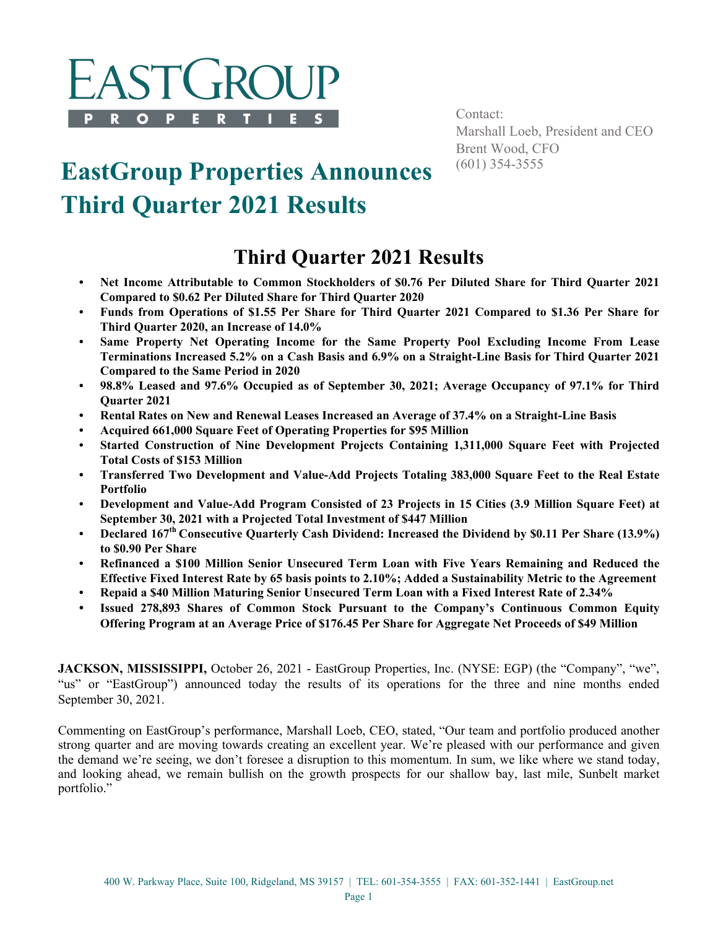

Contact: Marshall Loeb, President and CEO Brent Wood, CFO<br>(601) 354-3555

# **EastGroup Properties Announces Third Quarter 2021 Results**

## **Third Quarter 2021 Results**

- **Net Income Attributable to Common Stockholders of \$0.76 Per Diluted Share for Third Quarter 2021 Compared to \$0.62 Per Diluted Share for Third Quarter 2020**
- **Funds from Operations of \$1.55 Per Share for Third Quarter 2021 Compared to \$1.36 Per Share for Third Quarter 2020, an Increase of 14.0%**
- **Same Property Net Operating Income for the Same Property Pool Excluding Income From Lease Terminations Increased 5.2% on a Cash Basis and 6.9% on a Straight-Line Basis for Third Quarter 2021 Compared to the Same Period in 2020**
- **98.8% Leased and 97.6% Occupied as of September 30, 2021; Average Occupancy of 97.1% for Third Quarter 2021**
- **Rental Rates on New and Renewal Leases Increased an Average of 37.4% on a Straight-Line Basis**
- **Acquired 661,000 Square Feet of Operating Properties for \$95 Million**
- **Started Construction of Nine Development Projects Containing 1,311,000 Square Feet with Projected Total Costs of \$153 Million**
- **Transferred Two Development and Value-Add Projects Totaling 383,000 Square Feet to the Real Estate Portfolio**
- **Development and Value-Add Program Consisted of 23 Projects in 15 Cities (3.9 Million Square Feet) at September 30, 2021 with a Projected Total Investment of \$447 Million**
- **Declared 167th Consecutive Quarterly Cash Dividend: Increased the Dividend by \$0.11 Per Share (13.9%) to \$0.90 Per Share**
- **Refinanced a \$100 Million Senior Unsecured Term Loan with Five Years Remaining and Reduced the Effective Fixed Interest Rate by 65 basis points to 2.10%; Added a Sustainability Metric to the Agreement**
- **Repaid a \$40 Million Maturing Senior Unsecured Term Loan with a Fixed Interest Rate of 2.34%**
- **• Issued 278,893 Shares of Common Stock Pursuant to the Company's Continuous Common Equity Offering Program at an Average Price of \$176.45 Per Share for Aggregate Net Proceeds of \$49 Million**

**JACKSON, MISSISSIPPI,** October 26, 2021 - EastGroup Properties, Inc. (NYSE: EGP) (the "Company", "we", "us" or "EastGroup") announced today the results of its operations for the three and nine months ended September 30, 2021.

Commenting on EastGroup's performance, Marshall Loeb, CEO, stated, "Our team and portfolio produced another strong quarter and are moving towards creating an excellent year. We're pleased with our performance and given the demand we're seeing, we don't foresee a disruption to this momentum. In sum, we like where we stand today, and looking ahead, we remain bullish on the growth prospects for our shallow bay, last mile, Sunbelt market portfolio."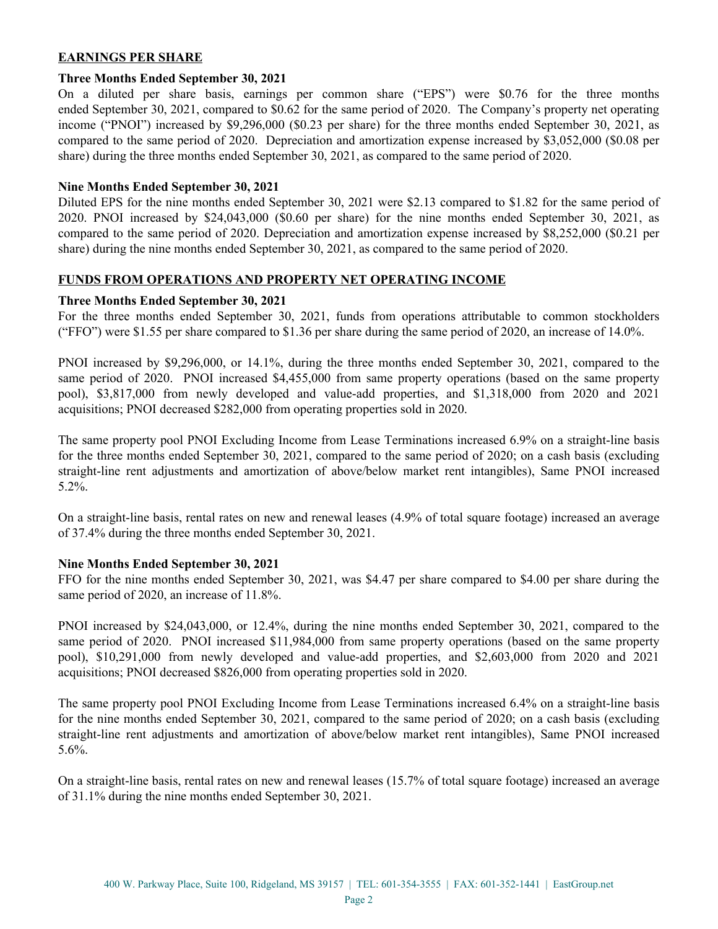#### **EARNINGS PER SHARE**

#### **Three Months Ended September 30, 2021**

On a diluted per share basis, earnings per common share ("EPS") were \$0.76 for the three months ended September 30, 2021, compared to \$0.62 for the same period of 2020. The Company's property net operating income ("PNOI") increased by \$9,296,000 (\$0.23 per share) for the three months ended September 30, 2021, as compared to the same period of 2020. Depreciation and amortization expense increased by \$3,052,000 (\$0.08 per share) during the three months ended September 30, 2021, as compared to the same period of 2020.

#### **Nine Months Ended September 30, 2021**

Diluted EPS for the nine months ended September 30, 2021 were \$2.13 compared to \$1.82 for the same period of 2020. PNOI increased by \$24,043,000 (\$0.60 per share) for the nine months ended September 30, 2021, as compared to the same period of 2020. Depreciation and amortization expense increased by \$8,252,000 (\$0.21 per share) during the nine months ended September 30, 2021, as compared to the same period of 2020.

#### **FUNDS FROM OPERATIONS AND PROPERTY NET OPERATING INCOME**

#### **Three Months Ended September 30, 2021**

For the three months ended September 30, 2021, funds from operations attributable to common stockholders ("FFO") were \$1.55 per share compared to \$1.36 per share during the same period of 2020, an increase of 14.0%.

PNOI increased by \$9,296,000, or 14.1%, during the three months ended September 30, 2021, compared to the same period of 2020. PNOI increased \$4,455,000 from same property operations (based on the same property pool), \$3,817,000 from newly developed and value-add properties, and \$1,318,000 from 2020 and 2021 acquisitions; PNOI decreased \$282,000 from operating properties sold in 2020.

The same property pool PNOI Excluding Income from Lease Terminations increased 6.9% on a straight-line basis for the three months ended September 30, 2021, compared to the same period of 2020; on a cash basis (excluding straight-line rent adjustments and amortization of above/below market rent intangibles), Same PNOI increased 5.2%.

On a straight-line basis, rental rates on new and renewal leases (4.9% of total square footage) increased an average of 37.4% during the three months ended September 30, 2021.

#### **Nine Months Ended September 30, 2021**

FFO for the nine months ended September 30, 2021, was \$4.47 per share compared to \$4.00 per share during the same period of 2020, an increase of 11.8%.

PNOI increased by \$24,043,000, or 12.4%, during the nine months ended September 30, 2021, compared to the same period of 2020. PNOI increased \$11,984,000 from same property operations (based on the same property pool), \$10,291,000 from newly developed and value-add properties, and \$2,603,000 from 2020 and 2021 acquisitions; PNOI decreased \$826,000 from operating properties sold in 2020.

The same property pool PNOI Excluding Income from Lease Terminations increased 6.4% on a straight-line basis for the nine months ended September 30, 2021, compared to the same period of 2020; on a cash basis (excluding straight-line rent adjustments and amortization of above/below market rent intangibles), Same PNOI increased 5.6%.

On a straight-line basis, rental rates on new and renewal leases (15.7% of total square footage) increased an average of 31.1% during the nine months ended September 30, 2021.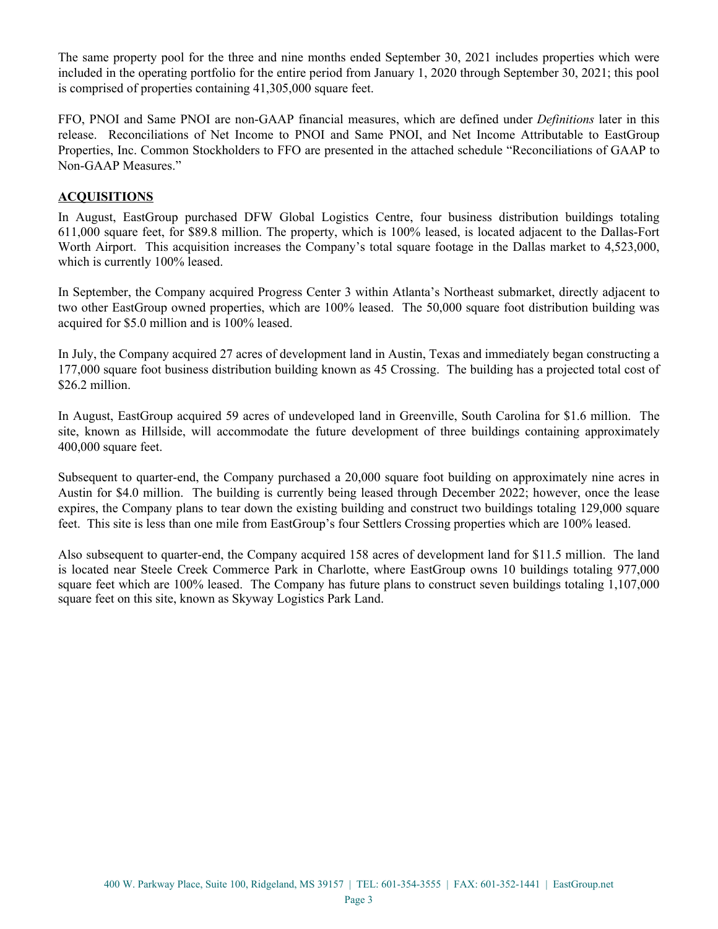The same property pool for the three and nine months ended September 30, 2021 includes properties which were included in the operating portfolio for the entire period from January 1, 2020 through September 30, 2021; this pool is comprised of properties containing 41,305,000 square feet.

FFO, PNOI and Same PNOI are non-GAAP financial measures, which are defined under *Definitions* later in this release. Reconciliations of Net Income to PNOI and Same PNOI, and Net Income Attributable to EastGroup Properties, Inc. Common Stockholders to FFO are presented in the attached schedule "Reconciliations of GAAP to Non-GAAP Measures."

#### **ACQUISITIONS**

In August, EastGroup purchased DFW Global Logistics Centre, four business distribution buildings totaling 611,000 square feet, for \$89.8 million. The property, which is 100% leased, is located adjacent to the Dallas-Fort Worth Airport. This acquisition increases the Company's total square footage in the Dallas market to 4,523,000, which is currently 100% leased.

In September, the Company acquired Progress Center 3 within Atlanta's Northeast submarket, directly adjacent to two other EastGroup owned properties, which are 100% leased. The 50,000 square foot distribution building was acquired for \$5.0 million and is 100% leased.

In July, the Company acquired 27 acres of development land in Austin, Texas and immediately began constructing a 177,000 square foot business distribution building known as 45 Crossing. The building has a projected total cost of \$26.2 million.

In August, EastGroup acquired 59 acres of undeveloped land in Greenville, South Carolina for \$1.6 million. The site, known as Hillside, will accommodate the future development of three buildings containing approximately 400,000 square feet.

Subsequent to quarter-end, the Company purchased a 20,000 square foot building on approximately nine acres in Austin for \$4.0 million. The building is currently being leased through December 2022; however, once the lease expires, the Company plans to tear down the existing building and construct two buildings totaling 129,000 square feet. This site is less than one mile from EastGroup's four Settlers Crossing properties which are 100% leased.

Also subsequent to quarter-end, the Company acquired 158 acres of development land for \$11.5 million. The land is located near Steele Creek Commerce Park in Charlotte, where EastGroup owns 10 buildings totaling 977,000 square feet which are 100% leased. The Company has future plans to construct seven buildings totaling 1,107,000 square feet on this site, known as Skyway Logistics Park Land.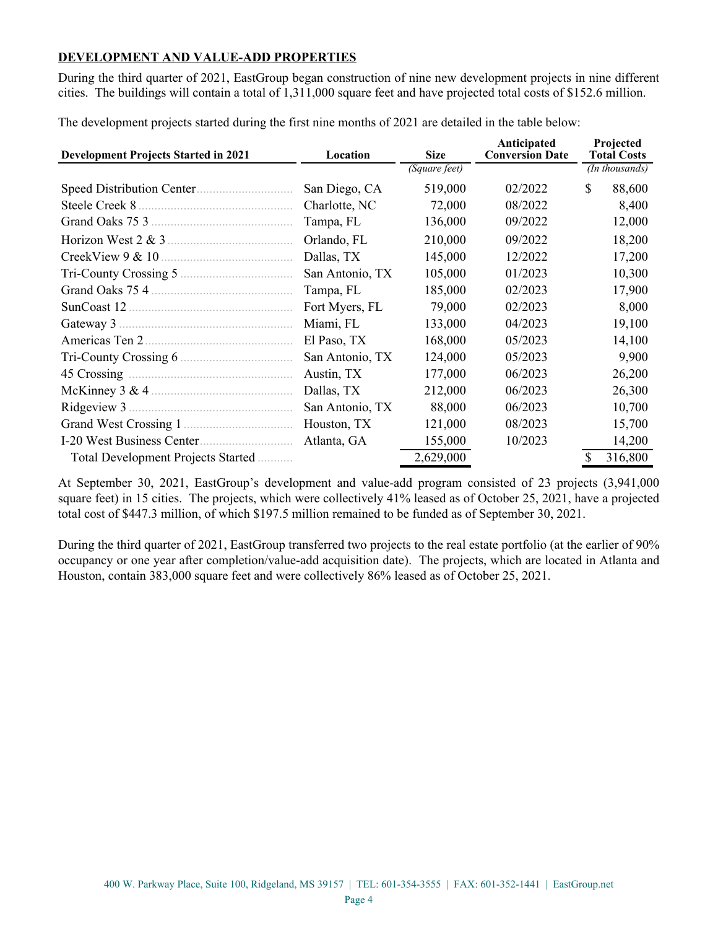#### **DEVELOPMENT AND VALUE-ADD PROPERTIES**

During the third quarter of 2021, EastGroup began construction of nine new development projects in nine different cities. The buildings will contain a total of 1,311,000 square feet and have projected total costs of \$152.6 million.

**Development Projects Started in 2021 Location Size Anticipated Conversion Date Projected Total Costs** *(Square feet) (In thousands)* Speed Distribution Center.............................. San Diego, CA 519,000 02/2022 \$ 88,600 Steele Creek 8 ................................................ Charlotte, NC 72,000 08/2022 8,400 Grand Oaks 75 3 ............................................ Tampa, FL 136,000 09/2022 12,000 Horizon West 2 & 3 ....................................... Orlando, FL 210,000 09/2022 18,200 CreekView 9 & 10 ......................................... Dallas, TX 145,000 12/2022 17,200 Tri-County Crossing 5 ................................... San Antonio, TX 105,000 01/2023 10,300 Grand Oaks 75 4 ............................................ Tampa, FL 185,000 02/2023 17,900 SunCoast 12 ................................................... Fort Myers, FL 79,000 02/2023 8,000 Gateway 3 ...................................................... Miami, FL 133,000 04/2023 19,100 Americas Ten 2.............................................. El Paso, TX 168,000 05/2023 14,100 Tri-County Crossing 6 ................................... San Antonio, TX 124,000 05/2023 9,900 45 Crossing ................................................... Austin, TX 177,000 06/2023 26,200 McKinney 3 & 4 ............................................ Dallas, TX 212,000 06/2023 26,300 Ridgeview 3 ................................................... San Antonio, TX 88,000 06/2023 10,700 Grand West Crossing 1 .................................. Houston, TX 121,000 08/2023 15,700 I-20 West Business Center............................. Atlanta, GA 155,000 10/2023 14,200 Total Development Projects Started ........... 2,629,000 \$ 316,800

The development projects started during the first nine months of 2021 are detailed in the table below:

At September 30, 2021, EastGroup's development and value-add program consisted of 23 projects (3,941,000 square feet) in 15 cities. The projects, which were collectively 41% leased as of October 25, 2021, have a projected total cost of \$447.3 million, of which \$197.5 million remained to be funded as of September 30, 2021.

During the third quarter of 2021, EastGroup transferred two projects to the real estate portfolio (at the earlier of 90% occupancy or one year after completion/value-add acquisition date). The projects, which are located in Atlanta and Houston, contain 383,000 square feet and were collectively 86% leased as of October 25, 2021.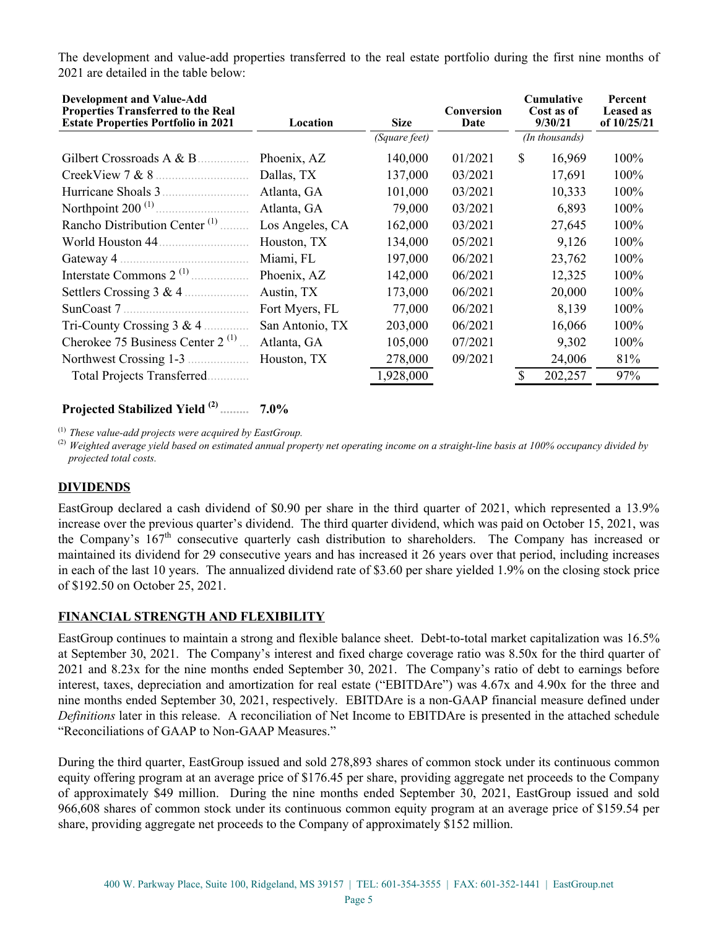The development and value-add properties transferred to the real estate portfolio during the first nine months of 2021 are detailed in the table below:

| <b>Development and Value-Add</b><br><b>Properties Transferred to the Real</b><br><b>Estate Properties Portfolio in 2021</b> | Location        | <b>Size</b>   | Conversion<br>Date | <b>Cumulative</b><br>Cost as of<br>9/30/21 |                | Percent<br><b>Leased as</b><br>of $10/25/21$ |
|-----------------------------------------------------------------------------------------------------------------------------|-----------------|---------------|--------------------|--------------------------------------------|----------------|----------------------------------------------|
|                                                                                                                             |                 | (Square feet) |                    |                                            | (In thousands) |                                              |
| Gilbert Crossroads A & B                                                                                                    | Phoenix, AZ     | 140,000       | 01/2021            | \$                                         | 16,969         | 100%                                         |
| CreekView $7 & 8$                                                                                                           | Dallas, TX      | 137,000       | 03/2021            |                                            | 17,691         | 100%                                         |
| Hurricane Shoals 3.                                                                                                         | Atlanta, GA     | 101,000       | 03/2021            |                                            | 10,333         | 100%                                         |
| Northpoint $200$ <sup>(1)</sup>                                                                                             | Atlanta, GA     | 79,000        | 03/2021            |                                            | 6,893          | 100%                                         |
| Rancho Distribution Center <sup>(1)</sup>                                                                                   | Los Angeles, CA | 162,000       | 03/2021            |                                            | 27,645         | 100%                                         |
| World Houston 44.                                                                                                           | Houston, TX     | 134,000       | 05/2021            |                                            | 9,126          | 100%                                         |
| Gateway 4.                                                                                                                  | Miami, FL       | 197,000       | 06/2021            |                                            | 23,762         | 100%                                         |
|                                                                                                                             | Phoenix, AZ     | 142,000       | 06/2021            |                                            | 12,325         | 100%                                         |
| Settlers Crossing 3 & 4                                                                                                     | Austin, TX      | 173,000       | 06/2021            |                                            | 20,000         | 100%                                         |
|                                                                                                                             | Fort Myers, FL  | 77,000        | 06/2021            |                                            | 8,139          | 100%                                         |
| Tri-County Crossing $3 & 4$                                                                                                 | San Antonio, TX | 203,000       | 06/2021            |                                            | 16,066         | 100%                                         |
| Cherokee 75 Business Center 2 <sup>(1)</sup>                                                                                | Atlanta, GA     | 105,000       | 07/2021            |                                            | 9,302          | 100%                                         |
| Northwest Crossing 1-3                                                                                                      | Houston, TX     | 278,000       | 09/2021            |                                            | 24,006         | 81%                                          |
| Total Projects Transferred.                                                                                                 |                 | 1,928,000     |                    |                                            | 202,257        | 97%                                          |

#### **Projected Stabilized Yield (2) ......... 7.0%**

(1) *These value-add projects were acquired by EastGroup.* 

(2) *Weighted average yield based on estimated annual property net operating income on a straight-line basis at 100% occupancy divided by projected total costs.* 

#### **DIVIDENDS**

EastGroup declared a cash dividend of \$0.90 per share in the third quarter of 2021, which represented a 13.9% increase over the previous quarter's dividend. The third quarter dividend, which was paid on October 15, 2021, was the Company's 167th consecutive quarterly cash distribution to shareholders. The Company has increased or maintained its dividend for 29 consecutive years and has increased it 26 years over that period, including increases in each of the last 10 years. The annualized dividend rate of \$3.60 per share yielded 1.9% on the closing stock price of \$192.50 on October 25, 2021.

#### **FINANCIAL STRENGTH AND FLEXIBILITY**

EastGroup continues to maintain a strong and flexible balance sheet. Debt-to-total market capitalization was 16.5% at September 30, 2021. The Company's interest and fixed charge coverage ratio was 8.50x for the third quarter of 2021 and 8.23x for the nine months ended September 30, 2021. The Company's ratio of debt to earnings before interest, taxes, depreciation and amortization for real estate ("EBITDAre") was 4.67x and 4.90x for the three and nine months ended September 30, 2021, respectively. EBITDAre is a non-GAAP financial measure defined under *Definitions* later in this release. A reconciliation of Net Income to EBITDAre is presented in the attached schedule "Reconciliations of GAAP to Non-GAAP Measures."

During the third quarter, EastGroup issued and sold 278,893 shares of common stock under its continuous common equity offering program at an average price of \$176.45 per share, providing aggregate net proceeds to the Company of approximately \$49 million. During the nine months ended September 30, 2021, EastGroup issued and sold 966,608 shares of common stock under its continuous common equity program at an average price of \$159.54 per share, providing aggregate net proceeds to the Company of approximately \$152 million.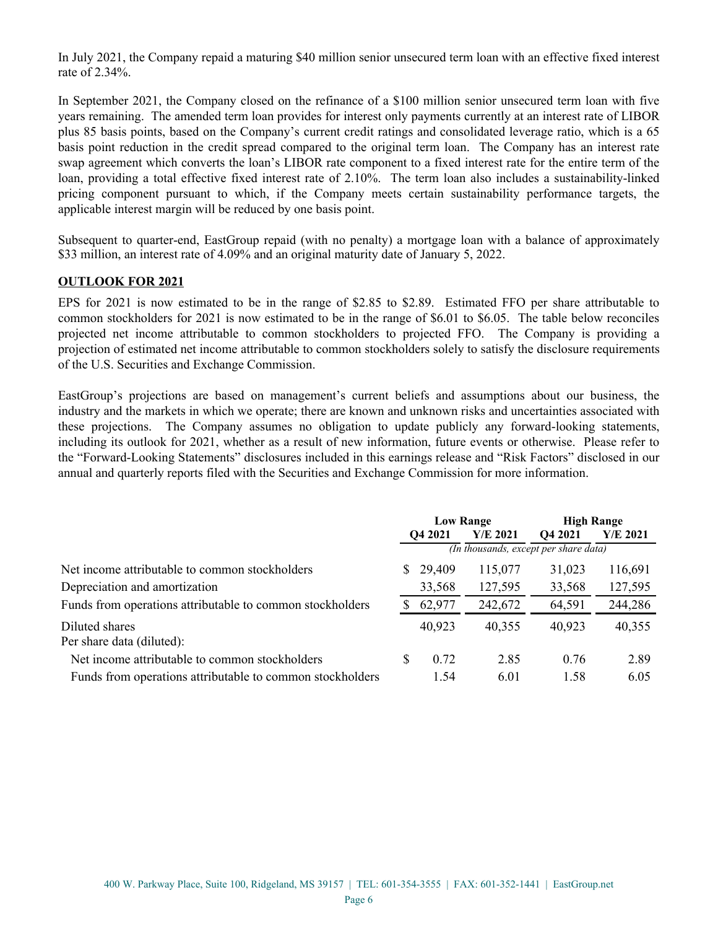In July 2021, the Company repaid a maturing \$40 million senior unsecured term loan with an effective fixed interest rate of 2.34%.

In September 2021, the Company closed on the refinance of a \$100 million senior unsecured term loan with five years remaining. The amended term loan provides for interest only payments currently at an interest rate of LIBOR plus 85 basis points, based on the Company's current credit ratings and consolidated leverage ratio, which is a 65 basis point reduction in the credit spread compared to the original term loan. The Company has an interest rate swap agreement which converts the loan's LIBOR rate component to a fixed interest rate for the entire term of the loan, providing a total effective fixed interest rate of 2.10%. The term loan also includes a sustainability-linked pricing component pursuant to which, if the Company meets certain sustainability performance targets, the applicable interest margin will be reduced by one basis point.

Subsequent to quarter-end, EastGroup repaid (with no penalty) a mortgage loan with a balance of approximately \$33 million, an interest rate of 4.09% and an original maturity date of January 5, 2022.

#### **OUTLOOK FOR 2021**

EPS for 2021 is now estimated to be in the range of \$2.85 to \$2.89. Estimated FFO per share attributable to common stockholders for 2021 is now estimated to be in the range of \$6.01 to \$6.05. The table below reconciles projected net income attributable to common stockholders to projected FFO. The Company is providing a projection of estimated net income attributable to common stockholders solely to satisfy the disclosure requirements of the U.S. Securities and Exchange Commission.

EastGroup's projections are based on management's current beliefs and assumptions about our business, the industry and the markets in which we operate; there are known and unknown risks and uncertainties associated with these projections. The Company assumes no obligation to update publicly any forward-looking statements, including its outlook for 2021, whether as a result of new information, future events or otherwise. Please refer to the "Forward-Looking Statements" disclosures included in this earnings release and "Risk Factors" disclosed in our annual and quarterly reports filed with the Securities and Exchange Commission for more information.

|                                                           | <b>Low Range</b>                      |        |            | <b>High Range</b>   |          |  |  |
|-----------------------------------------------------------|---------------------------------------|--------|------------|---------------------|----------|--|--|
|                                                           | O <sub>4</sub> 2021                   |        | $Y/E$ 2021 | O <sub>4</sub> 2021 | Y/E 2021 |  |  |
|                                                           | (In thousands, except per share data) |        |            |                     |          |  |  |
| Net income attributable to common stockholders            | S.                                    | 29,409 | 115,077    | 31,023              | 116,691  |  |  |
| Depreciation and amortization                             |                                       | 33,568 | 127,595    | 33,568              | 127,595  |  |  |
| Funds from operations attributable to common stockholders | S                                     | 62,977 | 242,672    | 64,591              | 244,286  |  |  |
| Diluted shares<br>Per share data (diluted):               |                                       | 40,923 | 40,355     | 40,923              | 40,355   |  |  |
| Net income attributable to common stockholders            | S                                     | 0.72   | 2.85       | 0.76                | 2.89     |  |  |
| Funds from operations attributable to common stockholders |                                       | 1.54   | 6.01       | 1.58                | 6.05     |  |  |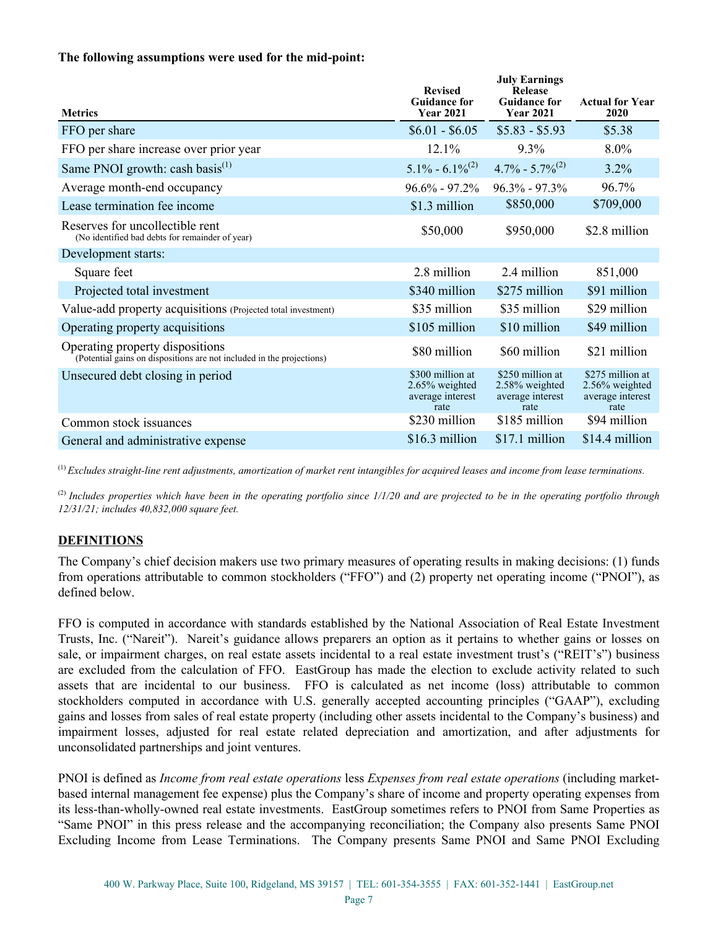#### **The following assumptions were used for the mid-point:**

| <b>Metrics</b>                                                                                           | <b>Revised</b><br><b>Guidance for</b><br><b>Year 2021</b>         | <b>July Earnings</b><br><b>Release</b><br><b>Guidance for</b><br><b>Year 2021</b> | <b>Actual for Year</b><br>2020                                    |
|----------------------------------------------------------------------------------------------------------|-------------------------------------------------------------------|-----------------------------------------------------------------------------------|-------------------------------------------------------------------|
| FFO per share                                                                                            | $$6.01 - $6.05$                                                   | $$5.83 - $5.93$                                                                   | \$5.38                                                            |
| FFO per share increase over prior year                                                                   | 12.1%                                                             | $9.3\%$                                                                           | $8.0\%$                                                           |
| Same PNOI growth: cash basis $^{(1)}$                                                                    | $5.1\% - 6.1\%^{(2)}$                                             | $4.7\% - 5.7\%^{(2)}$                                                             | 3.2%                                                              |
| Average month-end occupancy                                                                              | $96.6\% - 97.2\%$                                                 | $96.3\% - 97.3\%$                                                                 | 96.7%                                                             |
| Lease termination fee income                                                                             | \$1.3 million                                                     | \$850,000                                                                         | \$709,000                                                         |
| Reserves for uncollectible rent<br>(No identified bad debts for remainder of year)                       | \$50,000                                                          | \$950,000                                                                         | \$2.8 million                                                     |
| Development starts:                                                                                      |                                                                   |                                                                                   |                                                                   |
| Square feet                                                                                              | 2.8 million                                                       | 2.4 million                                                                       | 851,000                                                           |
| Projected total investment                                                                               | \$340 million                                                     | \$275 million                                                                     | \$91 million                                                      |
| Value-add property acquisitions (Projected total investment)                                             | \$35 million                                                      | \$35 million                                                                      | \$29 million                                                      |
| Operating property acquisitions                                                                          | \$105 million                                                     | \$10 million                                                                      | \$49 million                                                      |
| Operating property dispositions<br>(Potential gains on dispositions are not included in the projections) | \$80 million                                                      | \$60 million                                                                      | \$21 million                                                      |
| Unsecured debt closing in period                                                                         | \$300 million at<br>$2.65\%$ weighted<br>average interest<br>rate | \$250 million at<br>2.58% weighted<br>average interest<br>rate                    | \$275 million at<br>$2.56\%$ weighted<br>average interest<br>rate |
| Common stock issuances                                                                                   | \$230 million                                                     | \$185 million                                                                     | \$94 million                                                      |
| General and administrative expense                                                                       | \$16.3 million                                                    | \$17.1 million                                                                    | \$14.4 million                                                    |

(1) *Excludes straight-line rent adjustments, amortization of market rent intangibles for acquired leases and income from lease terminations.* 

(2) *Includes properties which have been in the operating portfolio since 1/1/20 and are projected to be in the operating portfolio through 12/31/21; includes 40,832,000 square feet.*

#### **DEFINITIONS**

The Company's chief decision makers use two primary measures of operating results in making decisions: (1) funds from operations attributable to common stockholders ("FFO") and (2) property net operating income ("PNOI"), as defined below.

FFO is computed in accordance with standards established by the National Association of Real Estate Investment Trusts, Inc. ("Nareit"). Nareit's guidance allows preparers an option as it pertains to whether gains or losses on sale, or impairment charges, on real estate assets incidental to a real estate investment trust's ("REIT's") business are excluded from the calculation of FFO. EastGroup has made the election to exclude activity related to such assets that are incidental to our business. FFO is calculated as net income (loss) attributable to common stockholders computed in accordance with U.S. generally accepted accounting principles ("GAAP"), excluding gains and losses from sales of real estate property (including other assets incidental to the Company's business) and impairment losses, adjusted for real estate related depreciation and amortization, and after adjustments for unconsolidated partnerships and joint ventures.

PNOI is defined as *Income from real estate operations* less *Expenses from real estate operations* (including marketbased internal management fee expense) plus the Company's share of income and property operating expenses from its less-than-wholly-owned real estate investments. EastGroup sometimes refers to PNOI from Same Properties as "Same PNOI" in this press release and the accompanying reconciliation; the Company also presents Same PNOI Excluding Income from Lease Terminations. The Company presents Same PNOI and Same PNOI Excluding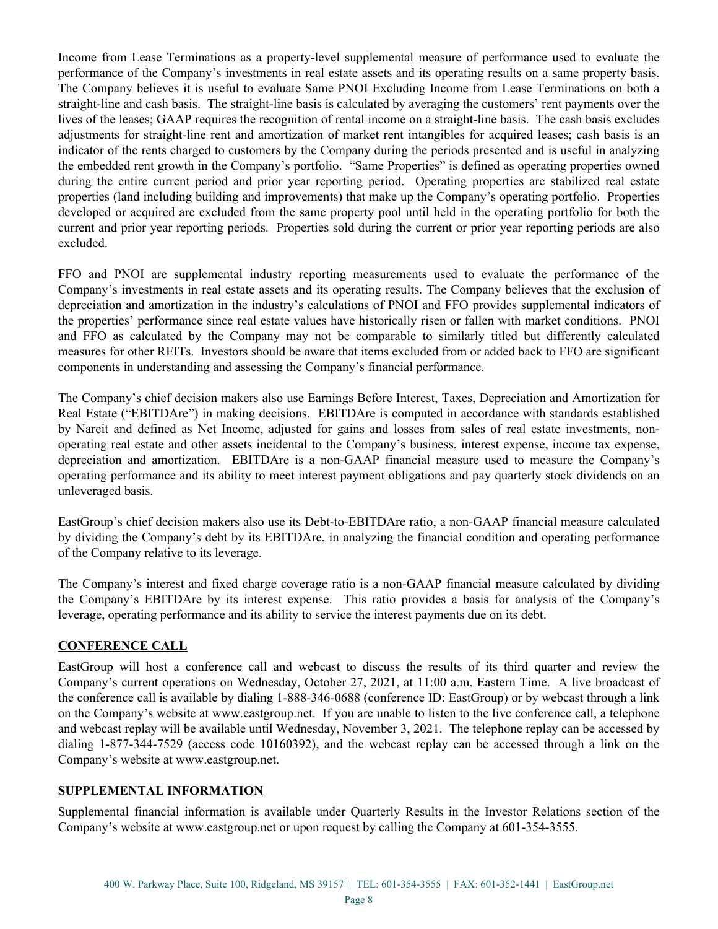Income from Lease Terminations as a property-level supplemental measure of performance used to evaluate the performance of the Company's investments in real estate assets and its operating results on a same property basis. The Company believes it is useful to evaluate Same PNOI Excluding Income from Lease Terminations on both a straight-line and cash basis. The straight-line basis is calculated by averaging the customers' rent payments over the lives of the leases; GAAP requires the recognition of rental income on a straight-line basis. The cash basis excludes adjustments for straight-line rent and amortization of market rent intangibles for acquired leases; cash basis is an indicator of the rents charged to customers by the Company during the periods presented and is useful in analyzing the embedded rent growth in the Company's portfolio. "Same Properties" is defined as operating properties owned during the entire current period and prior year reporting period. Operating properties are stabilized real estate properties (land including building and improvements) that make up the Company's operating portfolio. Properties developed or acquired are excluded from the same property pool until held in the operating portfolio for both the current and prior year reporting periods. Properties sold during the current or prior year reporting periods are also excluded.

FFO and PNOI are supplemental industry reporting measurements used to evaluate the performance of the Company's investments in real estate assets and its operating results. The Company believes that the exclusion of depreciation and amortization in the industry's calculations of PNOI and FFO provides supplemental indicators of the properties' performance since real estate values have historically risen or fallen with market conditions. PNOI and FFO as calculated by the Company may not be comparable to similarly titled but differently calculated measures for other REITs. Investors should be aware that items excluded from or added back to FFO are significant components in understanding and assessing the Company's financial performance.

The Company's chief decision makers also use Earnings Before Interest, Taxes, Depreciation and Amortization for Real Estate ("EBITDAre") in making decisions. EBITDAre is computed in accordance with standards established by Nareit and defined as Net Income, adjusted for gains and losses from sales of real estate investments, nonoperating real estate and other assets incidental to the Company's business, interest expense, income tax expense, depreciation and amortization. EBITDAre is a non-GAAP financial measure used to measure the Company's operating performance and its ability to meet interest payment obligations and pay quarterly stock dividends on an unleveraged basis.

EastGroup's chief decision makers also use its Debt-to-EBITDAre ratio, a non-GAAP financial measure calculated by dividing the Company's debt by its EBITDAre, in analyzing the financial condition and operating performance of the Company relative to its leverage.

The Company's interest and fixed charge coverage ratio is a non-GAAP financial measure calculated by dividing the Company's EBITDAre by its interest expense. This ratio provides a basis for analysis of the Company's leverage, operating performance and its ability to service the interest payments due on its debt.

#### **CONFERENCE CALL**

EastGroup will host a conference call and webcast to discuss the results of its third quarter and review the Company's current operations on Wednesday, October 27, 2021, at 11:00 a.m. Eastern Time. A live broadcast of the conference call is available by dialing 1-888-346-0688 (conference ID: EastGroup) or by webcast through a link on the Company's website at www.eastgroup.net. If you are unable to listen to the live conference call, a telephone and webcast replay will be available until Wednesday, November 3, 2021. The telephone replay can be accessed by dialing 1-877-344-7529 (access code 10160392), and the webcast replay can be accessed through a link on the Company's website at www.eastgroup.net.

#### **SUPPLEMENTAL INFORMATION**

Supplemental financial information is available under Quarterly Results in the Investor Relations section of the Company's website at www.eastgroup.net or upon request by calling the Company at 601-354-3555.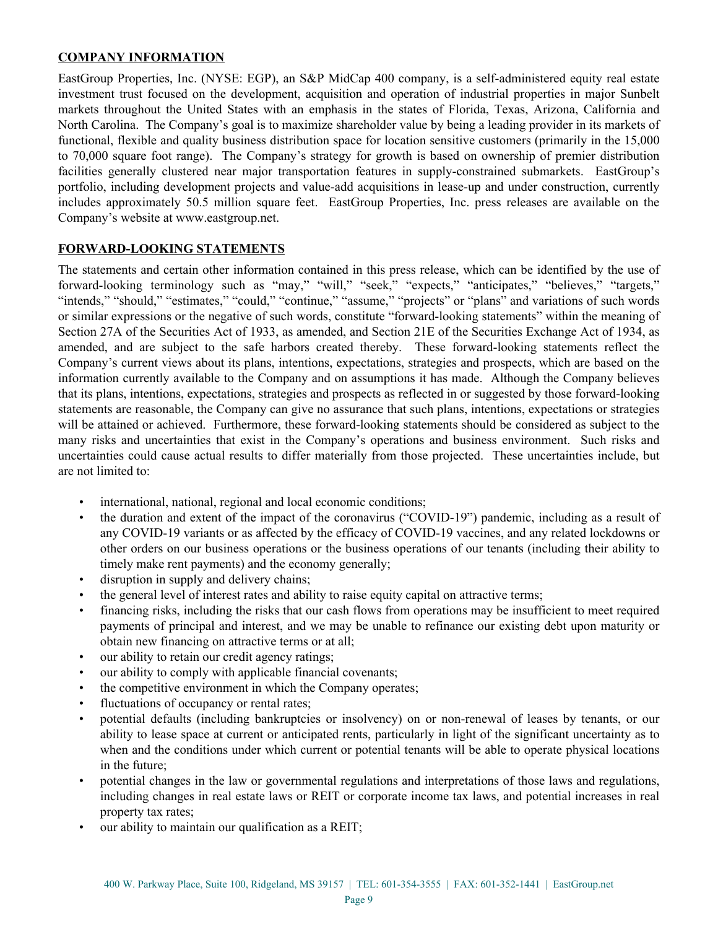#### **COMPANY INFORMATION**

EastGroup Properties, Inc. (NYSE: EGP), an S&P MidCap 400 company, is a self-administered equity real estate investment trust focused on the development, acquisition and operation of industrial properties in major Sunbelt markets throughout the United States with an emphasis in the states of Florida, Texas, Arizona, California and North Carolina. The Company's goal is to maximize shareholder value by being a leading provider in its markets of functional, flexible and quality business distribution space for location sensitive customers (primarily in the 15,000 to 70,000 square foot range). The Company's strategy for growth is based on ownership of premier distribution facilities generally clustered near major transportation features in supply-constrained submarkets. EastGroup's portfolio, including development projects and value-add acquisitions in lease-up and under construction, currently includes approximately 50.5 million square feet. EastGroup Properties, Inc. press releases are available on the Company's website at www.eastgroup.net.

#### **FORWARD-LOOKING STATEMENTS**

The statements and certain other information contained in this press release, which can be identified by the use of forward-looking terminology such as "may," "will," "seek," "expects," "anticipates," "believes," "targets," "intends," "should," "estimates," "could," "continue," "assume," "projects" or "plans" and variations of such words or similar expressions or the negative of such words, constitute "forward-looking statements" within the meaning of Section 27A of the Securities Act of 1933, as amended, and Section 21E of the Securities Exchange Act of 1934, as amended, and are subject to the safe harbors created thereby. These forward-looking statements reflect the Company's current views about its plans, intentions, expectations, strategies and prospects, which are based on the information currently available to the Company and on assumptions it has made. Although the Company believes that its plans, intentions, expectations, strategies and prospects as reflected in or suggested by those forward-looking statements are reasonable, the Company can give no assurance that such plans, intentions, expectations or strategies will be attained or achieved. Furthermore, these forward-looking statements should be considered as subject to the many risks and uncertainties that exist in the Company's operations and business environment. Such risks and uncertainties could cause actual results to differ materially from those projected. These uncertainties include, but are not limited to:

- international, national, regional and local economic conditions;
- the duration and extent of the impact of the coronavirus ("COVID-19") pandemic, including as a result of any COVID-19 variants or as affected by the efficacy of COVID-19 vaccines, and any related lockdowns or other orders on our business operations or the business operations of our tenants (including their ability to timely make rent payments) and the economy generally;
- disruption in supply and delivery chains;
- the general level of interest rates and ability to raise equity capital on attractive terms;
- financing risks, including the risks that our cash flows from operations may be insufficient to meet required payments of principal and interest, and we may be unable to refinance our existing debt upon maturity or obtain new financing on attractive terms or at all;
- our ability to retain our credit agency ratings;
- our ability to comply with applicable financial covenants;
- the competitive environment in which the Company operates;
- fluctuations of occupancy or rental rates;
- potential defaults (including bankruptcies or insolvency) on or non-renewal of leases by tenants, or our ability to lease space at current or anticipated rents, particularly in light of the significant uncertainty as to when and the conditions under which current or potential tenants will be able to operate physical locations in the future;
- potential changes in the law or governmental regulations and interpretations of those laws and regulations, including changes in real estate laws or REIT or corporate income tax laws, and potential increases in real property tax rates;
- our ability to maintain our qualification as a REIT;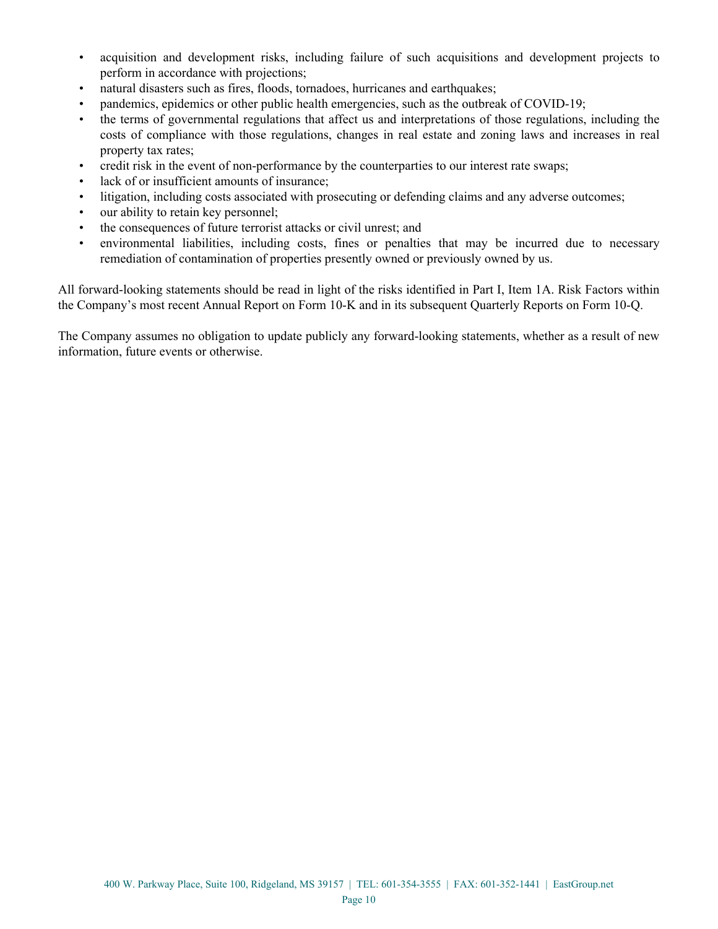- acquisition and development risks, including failure of such acquisitions and development projects to perform in accordance with projections;
- natural disasters such as fires, floods, tornadoes, hurricanes and earthquakes;
- pandemics, epidemics or other public health emergencies, such as the outbreak of COVID-19;
- the terms of governmental regulations that affect us and interpretations of those regulations, including the costs of compliance with those regulations, changes in real estate and zoning laws and increases in real property tax rates;
- credit risk in the event of non-performance by the counterparties to our interest rate swaps;
- lack of or insufficient amounts of insurance;
- litigation, including costs associated with prosecuting or defending claims and any adverse outcomes;
- our ability to retain key personnel;
- the consequences of future terrorist attacks or civil unrest; and
- environmental liabilities, including costs, fines or penalties that may be incurred due to necessary remediation of contamination of properties presently owned or previously owned by us.

All forward-looking statements should be read in light of the risks identified in Part I, Item 1A. Risk Factors within the Company's most recent Annual Report on Form 10-K and in its subsequent Quarterly Reports on Form 10-Q.

The Company assumes no obligation to update publicly any forward-looking statements, whether as a result of new information, future events or otherwise.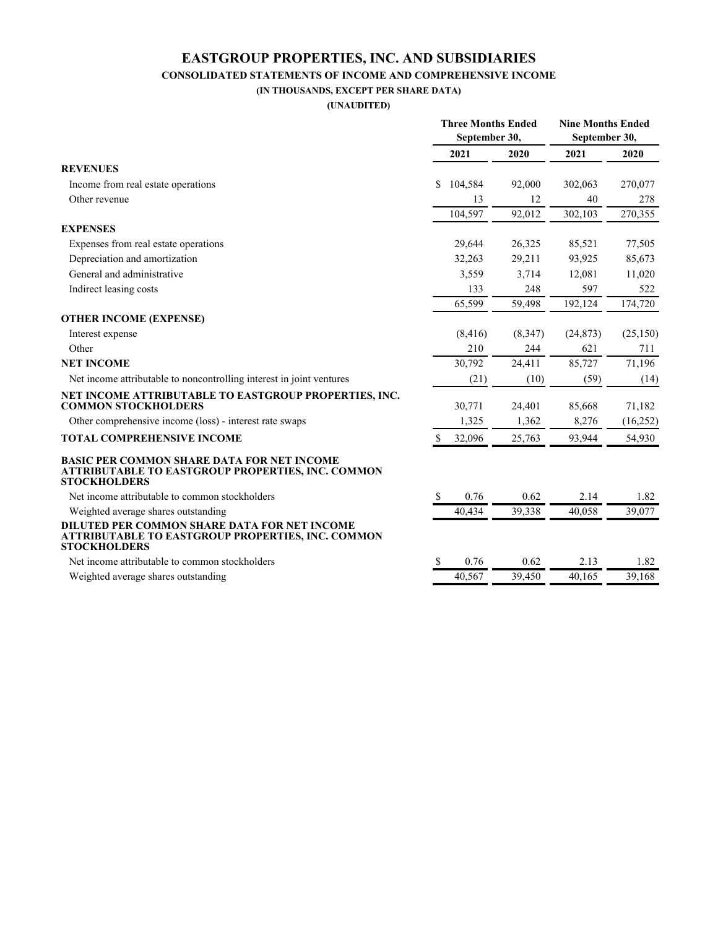#### **EASTGROUP PROPERTIES, INC. AND SUBSIDIARIES CONSOLIDATED STATEMENTS OF INCOME AND COMPREHENSIVE INCOME**

**(IN THOUSANDS, EXCEPT PER SHARE DATA) (UNAUDITED)**

|                                                                                                                               | <b>Three Months Ended</b><br>September 30, |          |         | <b>Nine Months Ended</b><br>September 30, |           |  |
|-------------------------------------------------------------------------------------------------------------------------------|--------------------------------------------|----------|---------|-------------------------------------------|-----------|--|
|                                                                                                                               |                                            |          |         |                                           |           |  |
|                                                                                                                               |                                            | 2021     | 2020    | 2021                                      | 2020      |  |
| <b>REVENUES</b>                                                                                                               |                                            |          |         |                                           |           |  |
| Income from real estate operations                                                                                            | S.                                         | 104,584  | 92,000  | 302,063                                   | 270,077   |  |
| Other revenue                                                                                                                 |                                            | 13       | 12      | 40                                        | 278       |  |
|                                                                                                                               |                                            | 104,597  | 92,012  | 302,103                                   | 270,355   |  |
| <b>EXPENSES</b>                                                                                                               |                                            |          |         |                                           |           |  |
| Expenses from real estate operations                                                                                          |                                            | 29,644   | 26,325  | 85,521                                    | 77,505    |  |
| Depreciation and amortization                                                                                                 |                                            | 32,263   | 29,211  | 93,925                                    | 85,673    |  |
| General and administrative                                                                                                    |                                            | 3,559    | 3,714   | 12,081                                    | 11,020    |  |
| Indirect leasing costs                                                                                                        |                                            | 133      | 248     | 597                                       | 522       |  |
|                                                                                                                               |                                            | 65,599   | 59,498  | 192,124                                   | 174,720   |  |
| <b>OTHER INCOME (EXPENSE)</b>                                                                                                 |                                            |          |         |                                           |           |  |
| Interest expense                                                                                                              |                                            | (8, 416) | (8,347) | (24, 873)                                 | (25,150)  |  |
| Other                                                                                                                         |                                            | 210      | 244     | 621                                       | 711       |  |
| <b>NET INCOME</b>                                                                                                             |                                            | 30,792   | 24,411  | 85,727                                    | 71,196    |  |
| Net income attributable to noncontrolling interest in joint ventures                                                          |                                            | (21)     | (10)    | (59)                                      | (14)      |  |
| NET INCOME ATTRIBUTABLE TO EASTGROUP PROPERTIES, INC.<br><b>COMMON STOCKHOLDERS</b>                                           |                                            | 30,771   | 24,401  | 85,668                                    | 71,182    |  |
| Other comprehensive income (loss) - interest rate swaps                                                                       |                                            | 1,325    | 1,362   | 8,276                                     | (16, 252) |  |
| TOTAL COMPREHENSIVE INCOME                                                                                                    | \$                                         | 32,096   | 25,763  | 93,944                                    | 54,930    |  |
| <b>BASIC PER COMMON SHARE DATA FOR NET INCOME</b><br>ATTRIBUTABLE TO EASTGROUP PROPERTIES, INC. COMMON<br><b>STOCKHOLDERS</b> |                                            |          |         |                                           |           |  |
| Net income attributable to common stockholders                                                                                | <sup>\$</sup>                              | 0.76     | 0.62    | 2.14                                      | 1.82      |  |
| Weighted average shares outstanding                                                                                           |                                            | 40,434   | 39,338  | 40.058                                    | 39,077    |  |
| DILUTED PER COMMON SHARE DATA FOR NET INCOME<br>ATTRIBUTABLE TO EASTGROUP PROPERTIES, INC. COMMON<br><b>STOCKHOLDERS</b>      |                                            |          |         |                                           |           |  |
| Net income attributable to common stockholders                                                                                | S                                          | 0.76     | 0.62    | 2.13                                      | 1.82      |  |
| Weighted average shares outstanding                                                                                           |                                            | 40,567   | 39,450  | 40,165                                    | 39,168    |  |
|                                                                                                                               |                                            |          |         |                                           |           |  |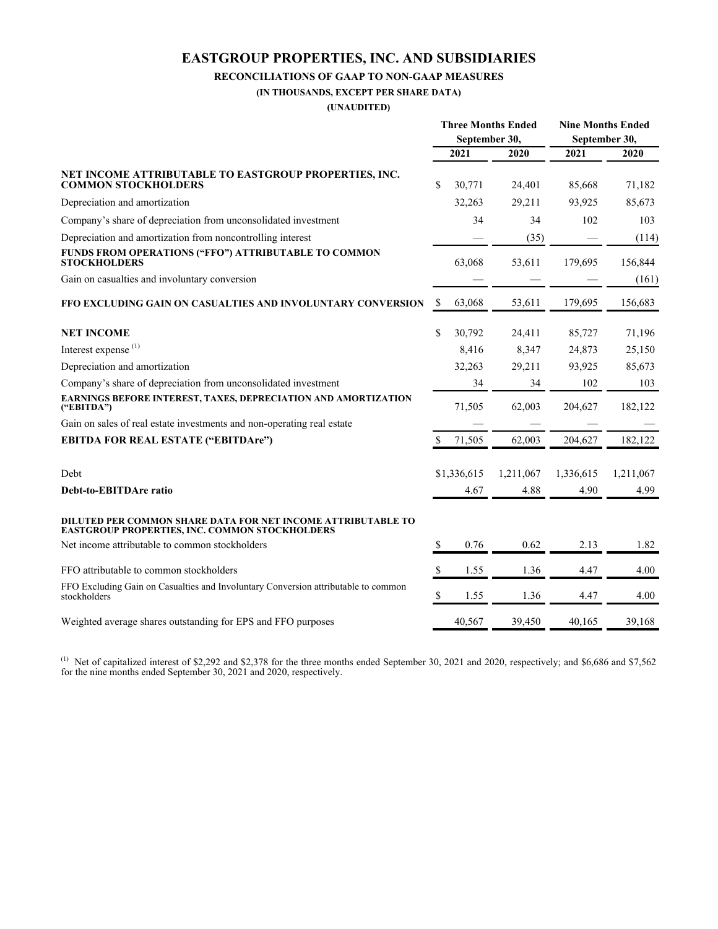### **EASTGROUP PROPERTIES, INC. AND SUBSIDIARIES**

#### **RECONCILIATIONS OF GAAP TO NON-GAAP MEASURES**

**(IN THOUSANDS, EXCEPT PER SHARE DATA)**

**(UNAUDITED)**

|                                                                                                                       | <b>Three Months Ended</b><br>September 30, |             |           | <b>Nine Months Ended</b><br>September 30, |           |
|-----------------------------------------------------------------------------------------------------------------------|--------------------------------------------|-------------|-----------|-------------------------------------------|-----------|
|                                                                                                                       |                                            | 2021        | 2020      | 2021                                      | 2020      |
| NET INCOME ATTRIBUTABLE TO EASTGROUP PROPERTIES, INC.<br><b>COMMON STOCKHOLDERS</b>                                   | \$                                         | 30,771      | 24,401    | 85,668                                    | 71,182    |
| Depreciation and amortization                                                                                         |                                            | 32,263      | 29,211    | 93,925                                    | 85,673    |
| Company's share of depreciation from unconsolidated investment                                                        |                                            | 34          | 34        | 102                                       | 103       |
| Depreciation and amortization from noncontrolling interest                                                            |                                            |             | (35)      |                                           | (114)     |
| FUNDS FROM OPERATIONS ("FFO") ATTRIBUTABLE TO COMMON<br><b>STOCKHOLDERS</b>                                           |                                            | 63,068      | 53,611    | 179,695                                   | 156,844   |
| Gain on casualties and involuntary conversion                                                                         |                                            |             |           |                                           | (161)     |
| FFO EXCLUDING GAIN ON CASUALTIES AND INVOLUNTARY CONVERSION                                                           | \$                                         | 63,068      | 53,611    | 179,695                                   | 156,683   |
| <b>NET INCOME</b>                                                                                                     | \$                                         | 30,792      | 24,411    | 85,727                                    | 71,196    |
| Interest expense <sup>(1)</sup>                                                                                       |                                            | 8,416       | 8,347     | 24,873                                    | 25,150    |
| Depreciation and amortization                                                                                         |                                            | 32,263      | 29,211    | 93,925                                    | 85,673    |
| Company's share of depreciation from unconsolidated investment                                                        |                                            | 34          | 34        | 102                                       | 103       |
| EARNINGS BEFORE INTEREST, TAXES, DEPRECIATION AND AMORTIZATION<br>("EBITDA")                                          |                                            | 71,505      | 62,003    | 204,627                                   | 182,122   |
| Gain on sales of real estate investments and non-operating real estate                                                |                                            |             |           |                                           |           |
| <b>EBITDA FOR REAL ESTATE ("EBITDAre")</b>                                                                            | $\mathbb S$                                | 71,505      | 62,003    | 204,627                                   | 182,122   |
| Debt                                                                                                                  |                                            | \$1,336,615 | 1,211,067 | 1,336,615                                 | 1,211,067 |
| Debt-to-EBITDAre ratio                                                                                                |                                            | 4.67        | 4.88      | 4.90                                      | 4.99      |
| DILUTED PER COMMON SHARE DATA FOR NET INCOME ATTRIBUTABLE TO<br><b>EASTGROUP PROPERTIES, INC. COMMON STOCKHOLDERS</b> |                                            |             |           |                                           |           |
| Net income attributable to common stockholders                                                                        | <sup>\$</sup>                              | 0.76        | 0.62      | 2.13                                      | 1.82      |
| FFO attributable to common stockholders                                                                               | S                                          | 1.55        | 1.36      | 4.47                                      | 4.00      |
| FFO Excluding Gain on Casualties and Involuntary Conversion attributable to common<br>stockholders                    | S                                          | 1.55        | 1.36      | 4.47                                      | 4.00      |
| Weighted average shares outstanding for EPS and FFO purposes                                                          |                                            | 40,567      | 39,450    | 40,165                                    | 39,168    |

(1) Net of capitalized interest of \$2,292 and \$2,378 for the three months ended September 30, 2021 and 2020, respectively; and \$6,686 and \$7,562 for the nine months ended September 30, 2021 and 2020, respectively.